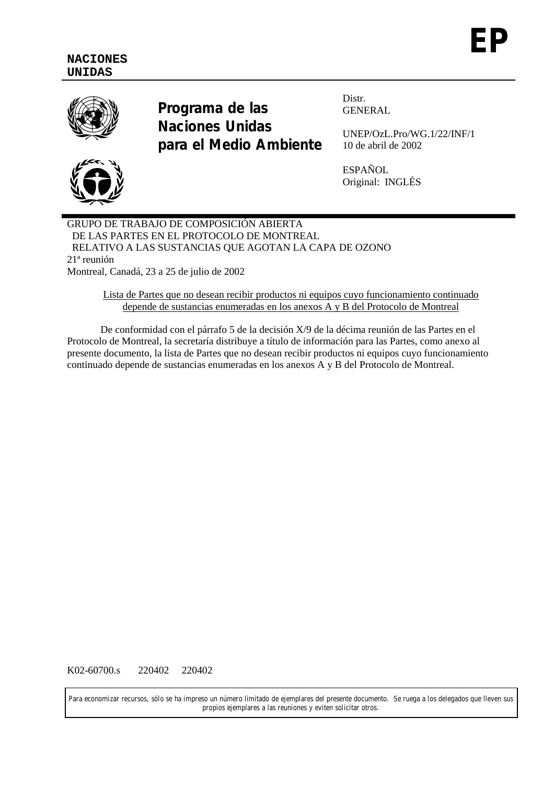

**Programa de las Naciones Unidas para el Medio Ambiente** Distr. GENERAL

UNEP/OzL.Pro/WG.1/22/INF/1 10 de abril de 2002

ESPAÑOL Original: INGLÉS

GRUPO DE TRABAJO DE COMPOSICIÓN ABIERTA DE LAS PARTES EN EL PROTOCOLO DE MONTREAL RELATIVO A LAS SUSTANCIAS QUE AGOTAN LA CAPA DE OZONO 21ª reunión Montreal, Canadá, 23 a 25 de julio de 2002

> Lista de Partes que no desean recibir productos ni equipos cuyo funcionamiento continuado depende de sustancias enumeradas en los anexos A y B del Protocolo de Montreal

De conformidad con el párrafo 5 de la decisión X/9 de la décima reunión de las Partes en el Protocolo de Montreal, la secretaría distribuye a título de información para las Partes, como anexo al presente documento, la lista de Partes que no desean recibir productos ni equipos cuyo funcionamiento continuado depende de sustancias enumeradas en los anexos A y B del Protocolo de Montreal.

K02-60700.s 220402 220402

Para economizar recursos, sólo se ha impreso un número limitado de ejemplares del presente documento. Se ruega a los delegados que lleven sus propios ejemplares a las reuniones y eviten solicitar otros.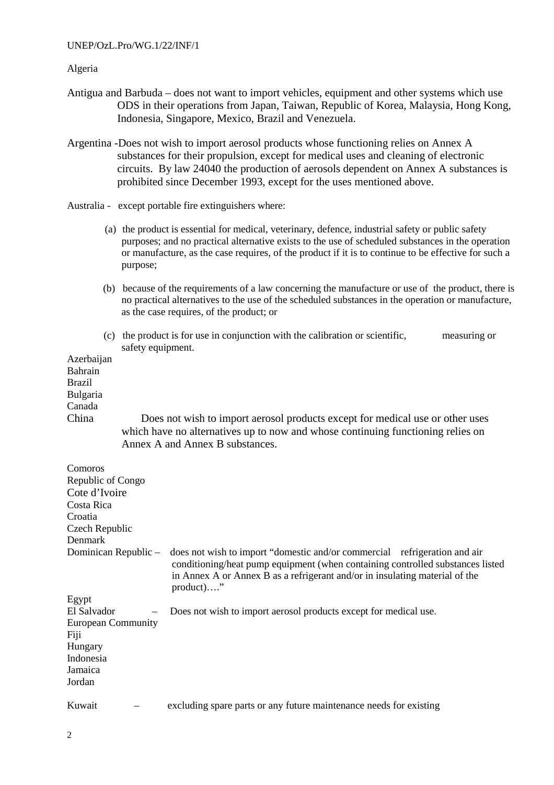## UNEP/OzL.Pro/WG.1/22/INF/1

## Algeria

- Antigua and Barbuda does not want to import vehicles, equipment and other systems which use ODS in their operations from Japan, Taiwan, Republic of Korea, Malaysia, Hong Kong, Indonesia, Singapore, Mexico, Brazil and Venezuela.
- Argentina -Does not wish to import aerosol products whose functioning relies on Annex A substances for their propulsion, except for medical uses and cleaning of electronic circuits. By law 24040 the production of aerosols dependent on Annex A substances is prohibited since December 1993, except for the uses mentioned above.
- Australia except portable fire extinguishers where:
	- (a) the product is essential for medical, veterinary, defence, industrial safety or public safety purposes; and no practical alternative exists to the use of scheduled substances in the operation or manufacture, as the case requires, of the product if it is to continue to be effective for such a purpose;
	- (b) because of the requirements of a law concerning the manufacture or use of the product, there is no practical alternatives to the use of the scheduled substances in the operation or manufacture, as the case requires, of the product; or
	- (c) the product is for use in conjunction with the calibration or scientific, measuring or safety equipment.

| Azerbaijan<br>Bahrain<br><b>Brazil</b><br>Bulgaria |                                                                                                                                                                                                                                                            |
|----------------------------------------------------|------------------------------------------------------------------------------------------------------------------------------------------------------------------------------------------------------------------------------------------------------------|
| Canada                                             |                                                                                                                                                                                                                                                            |
| China                                              | Does not wish to import aerosol products except for medical use or other uses<br>which have no alternatives up to now and whose continuing functioning relies on<br>Annex A and Annex B substances.                                                        |
| Comoros                                            |                                                                                                                                                                                                                                                            |
| Republic of Congo                                  |                                                                                                                                                                                                                                                            |
| Cote d'Ivoire                                      |                                                                                                                                                                                                                                                            |
| Costa Rica                                         |                                                                                                                                                                                                                                                            |
| Croatia                                            |                                                                                                                                                                                                                                                            |
| Czech Republic                                     |                                                                                                                                                                                                                                                            |
| Denmark                                            |                                                                                                                                                                                                                                                            |
| Dominican Republic -                               | does not wish to import "domestic and/or commercial refrigeration and air<br>conditioning/heat pump equipment (when containing controlled substances listed<br>in Annex A or Annex B as a refrigerant and/or in insulating material of the<br>$product)$ " |
| Egypt                                              |                                                                                                                                                                                                                                                            |
| El Salvador                                        | Does not wish to import aerosol products except for medical use.                                                                                                                                                                                           |
| <b>European Community</b><br>Fiji                  |                                                                                                                                                                                                                                                            |
| Hungary                                            |                                                                                                                                                                                                                                                            |
| Indonesia                                          |                                                                                                                                                                                                                                                            |
| Jamaica                                            |                                                                                                                                                                                                                                                            |
| Jordan                                             |                                                                                                                                                                                                                                                            |
| Kuwait                                             | excluding spare parts or any future maintenance needs for existing                                                                                                                                                                                         |